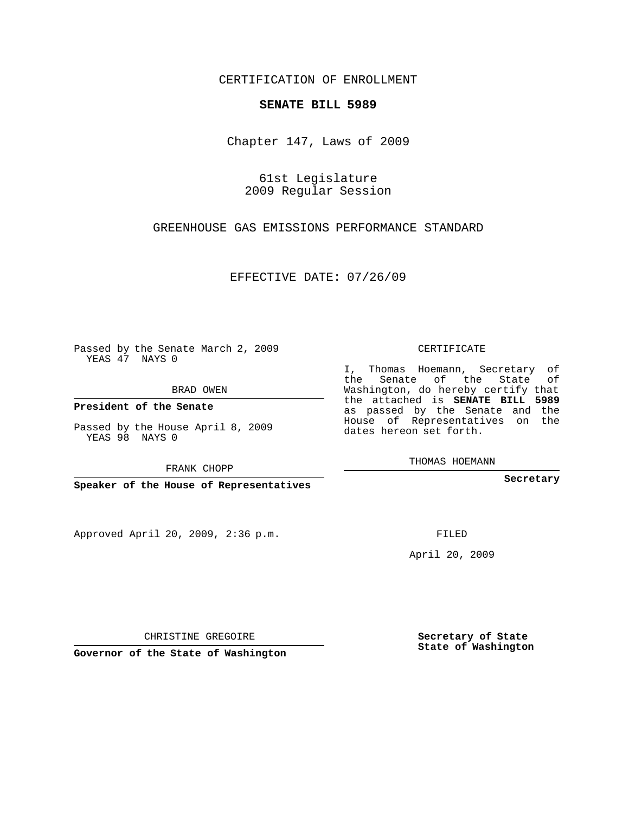## CERTIFICATION OF ENROLLMENT

## **SENATE BILL 5989**

Chapter 147, Laws of 2009

61st Legislature 2009 Regular Session

GREENHOUSE GAS EMISSIONS PERFORMANCE STANDARD

EFFECTIVE DATE: 07/26/09

Passed by the Senate March 2, 2009 YEAS 47 NAYS 0

BRAD OWEN

**President of the Senate**

Passed by the House April 8, 2009 YEAS 98 NAYS 0

FRANK CHOPP

**Speaker of the House of Representatives**

Approved April 20, 2009, 2:36 p.m.

CERTIFICATE

I, Thomas Hoemann, Secretary of the Senate of the State of Washington, do hereby certify that the attached is **SENATE BILL 5989** as passed by the Senate and the House of Representatives on the dates hereon set forth.

THOMAS HOEMANN

**Secretary**

FILED

April 20, 2009

**Secretary of State State of Washington**

CHRISTINE GREGOIRE

**Governor of the State of Washington**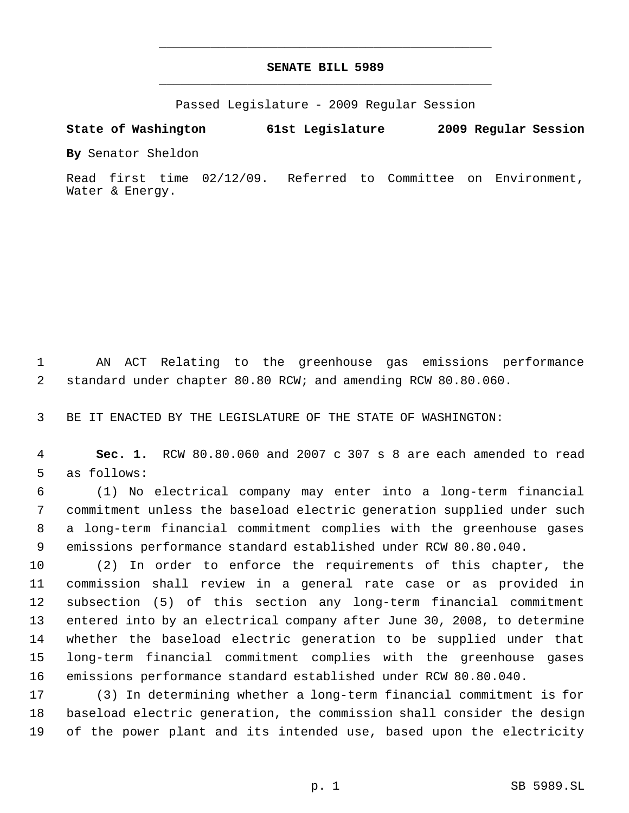## **SENATE BILL 5989** \_\_\_\_\_\_\_\_\_\_\_\_\_\_\_\_\_\_\_\_\_\_\_\_\_\_\_\_\_\_\_\_\_\_\_\_\_\_\_\_\_\_\_\_\_

\_\_\_\_\_\_\_\_\_\_\_\_\_\_\_\_\_\_\_\_\_\_\_\_\_\_\_\_\_\_\_\_\_\_\_\_\_\_\_\_\_\_\_\_\_

Passed Legislature - 2009 Regular Session

## **State of Washington 61st Legislature 2009 Regular Session**

**By** Senator Sheldon

Read first time 02/12/09. Referred to Committee on Environment, Water & Energy.

 AN ACT Relating to the greenhouse gas emissions performance standard under chapter 80.80 RCW; and amending RCW 80.80.060.

BE IT ENACTED BY THE LEGISLATURE OF THE STATE OF WASHINGTON:

 **Sec. 1.** RCW 80.80.060 and 2007 c 307 s 8 are each amended to read as follows:

 (1) No electrical company may enter into a long-term financial commitment unless the baseload electric generation supplied under such a long-term financial commitment complies with the greenhouse gases emissions performance standard established under RCW 80.80.040.

 (2) In order to enforce the requirements of this chapter, the commission shall review in a general rate case or as provided in subsection (5) of this section any long-term financial commitment entered into by an electrical company after June 30, 2008, to determine whether the baseload electric generation to be supplied under that long-term financial commitment complies with the greenhouse gases emissions performance standard established under RCW 80.80.040.

 (3) In determining whether a long-term financial commitment is for baseload electric generation, the commission shall consider the design of the power plant and its intended use, based upon the electricity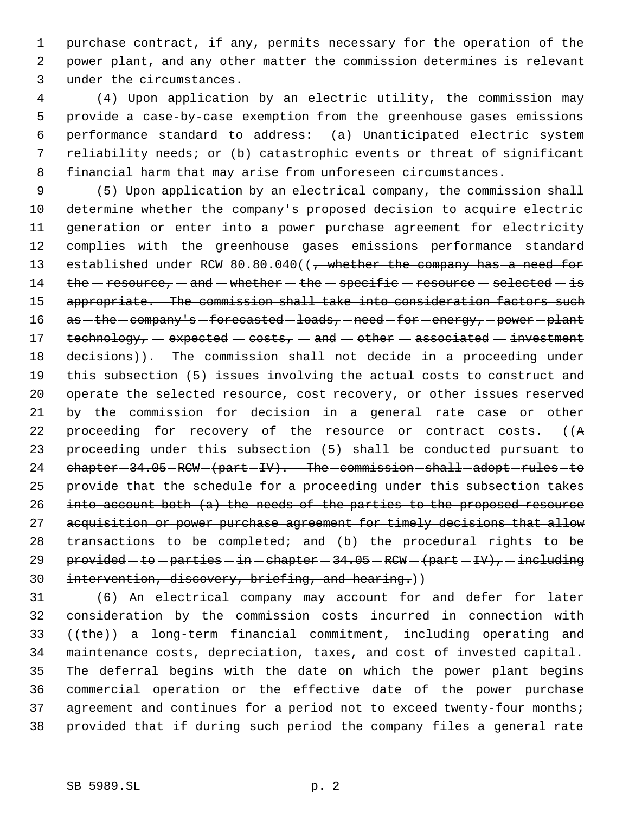purchase contract, if any, permits necessary for the operation of the power plant, and any other matter the commission determines is relevant under the circumstances.

 (4) Upon application by an electric utility, the commission may provide a case-by-case exemption from the greenhouse gases emissions performance standard to address: (a) Unanticipated electric system reliability needs; or (b) catastrophic events or threat of significant financial harm that may arise from unforeseen circumstances.

 (5) Upon application by an electrical company, the commission shall determine whether the company's proposed decision to acquire electric generation or enter into a power purchase agreement for electricity complies with the greenhouse gases emissions performance standard 13 established under RCW 80.80.040((, whether the company has a need for 14 the  $-$  resource,  $-$  and  $-$  whether  $-$  the  $-$  specific  $-$  resource  $-$  selected  $-$  is 15 appropriate. The commission shall take into consideration factors such 16 as -the -company's -forecasted -loads, -need -for -energy, -power -plant 17 technology,  $-$  expected  $-$  costs,  $-$  and  $-$  other  $-$  associated  $-$  investment 18 decisions)). The commission shall not decide in a proceeding under this subsection (5) issues involving the actual costs to construct and operate the selected resource, cost recovery, or other issues reserved by the commission for decision in a general rate case or other proceeding for recovery of the resource or contract costs. ((A 23 proceeding -under -this -subsection -  $(5)$  -shall -be -conducted -pursuant -to 24 chapter - 34.05 - RCW - (part - IV). The - commission - shall - adopt - rules - to provide that the schedule for a proceeding under this subsection takes into account both (a) the needs of the parties to the proposed resource 27 acquisition or power purchase agreement for timely decisions that allow transactions-to-be-completed; -and- $(b)$ -the-procedural-rights-to-be 29 provided  $-$  to  $-$  parties  $-$  in  $-$  chapter  $-$  34.05  $-$  RCW  $-$  (part  $-$  IV),  $-$  including 30 intervention, discovery, briefing, and hearing.))

 (6) An electrical company may account for and defer for later consideration by the commission costs incurred in connection with ((the)) a long-term financial commitment, including operating and maintenance costs, depreciation, taxes, and cost of invested capital. The deferral begins with the date on which the power plant begins commercial operation or the effective date of the power purchase 37 agreement and continues for a period not to exceed twenty-four months; provided that if during such period the company files a general rate